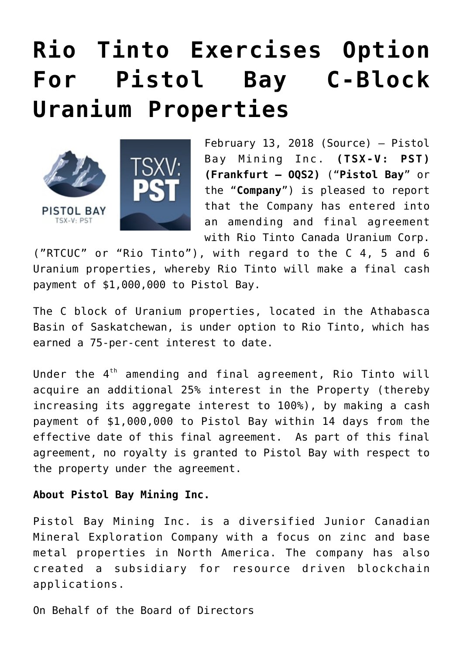## **[Rio Tinto Exercises Option](https://investorintel.com/markets/gold-silver-base-metals/gold-precious-metals-news/rio-tinto-exercises-option-pistol-bay-c-block-uranium-properties/) [For Pistol Bay C-Block](https://investorintel.com/markets/gold-silver-base-metals/gold-precious-metals-news/rio-tinto-exercises-option-pistol-bay-c-block-uranium-properties/) [Uranium Properties](https://investorintel.com/markets/gold-silver-base-metals/gold-precious-metals-news/rio-tinto-exercises-option-pistol-bay-c-block-uranium-properties/)**



February 13, 2018 [\(Source\)](https://investorintel.com/iintel-members/pistol-bay-mining-inc/) — Pistol Bay Mining Inc. **(TSX-V: PST) (Frankfurt – OQS2)** ("**Pistol Bay**" or the "**Company**") is pleased to report that the Company has entered into an amending and final agreement with Rio Tinto Canada Uranium Corp.

("RTCUC" or "Rio Tinto"), with regard to the C 4, 5 and 6 Uranium properties, whereby Rio Tinto will make a final cash payment of \$1,000,000 to Pistol Bay.

The C block of Uranium properties, located in the Athabasca Basin of Saskatchewan, is under option to Rio Tinto, which has earned a 75-per-cent interest to date.

Under the  $4<sup>th</sup>$  amending and final agreement, Rio Tinto will acquire an additional 25% interest in the Property (thereby increasing its aggregate interest to 100%), by making a cash payment of \$1,000,000 to Pistol Bay within 14 days from the effective date of this final agreement. As part of this final agreement, no royalty is granted to Pistol Bay with respect to the property under the agreement.

## **About Pistol Bay Mining Inc.**

Pistol Bay Mining Inc. is a diversified Junior Canadian Mineral Exploration Company with a focus on zinc and base metal properties in North America. The company has also created a subsidiary for resource driven blockchain applications.

On Behalf of the Board of Directors